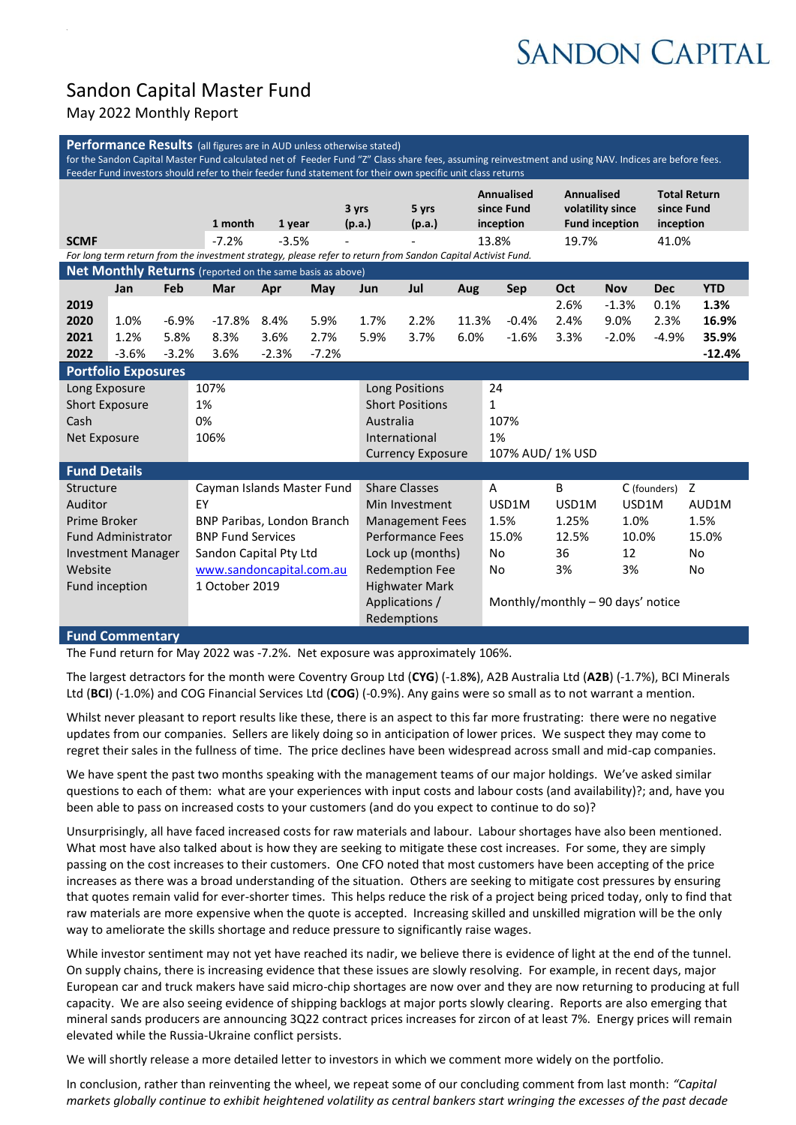# **SANDON CAPITAL**

# Sandon Capital Master Fund

## May 2022 Monthly Report

| Performance Results (all figures are in AUD unless otherwise stated)<br>for the Sandon Capital Master Fund calculated net of Feeder Fund "Z" Class share fees, assuming reinvestment and using NAV. Indices are before fees.<br>Feeder Fund investors should refer to their feeder fund statement for their own specific unit class returns |      |         |                                   |                          |         |                            |                               |       |                                              |                                                                |            |                                                |                |  |
|---------------------------------------------------------------------------------------------------------------------------------------------------------------------------------------------------------------------------------------------------------------------------------------------------------------------------------------------|------|---------|-----------------------------------|--------------------------|---------|----------------------------|-------------------------------|-------|----------------------------------------------|----------------------------------------------------------------|------------|------------------------------------------------|----------------|--|
|                                                                                                                                                                                                                                                                                                                                             |      |         | 1 month                           | 1 year                   |         | 3 yrs<br>(p.a.)            | 5 yrs<br>(p.a.)               |       | <b>Annualised</b><br>since Fund<br>inception | <b>Annualised</b><br>volatility since<br><b>Fund inception</b> |            | <b>Total Return</b><br>since Fund<br>inception |                |  |
| <b>SCMF</b>                                                                                                                                                                                                                                                                                                                                 |      |         | $-7.2%$                           | $-3.5%$                  |         |                            |                               |       | 13.8%                                        | 19.7%                                                          |            | 41.0%                                          |                |  |
| For long term return from the investment strategy, please refer to return from Sandon Capital Activist Fund.                                                                                                                                                                                                                                |      |         |                                   |                          |         |                            |                               |       |                                              |                                                                |            |                                                |                |  |
| Net Monthly Returns (reported on the same basis as above)                                                                                                                                                                                                                                                                                   |      |         |                                   |                          |         |                            |                               |       |                                              |                                                                |            |                                                |                |  |
|                                                                                                                                                                                                                                                                                                                                             | Jan  | Feb     | Mar                               | Apr                      | May     | Jun                        | Jul                           | Aug   | <b>Sep</b>                                   | Oct                                                            | <b>Nov</b> | <b>Dec</b>                                     | <b>YTD</b>     |  |
| 2019                                                                                                                                                                                                                                                                                                                                        |      |         |                                   |                          |         |                            |                               |       |                                              | 2.6%                                                           | $-1.3%$    | 0.1%                                           | 1.3%           |  |
| 2020                                                                                                                                                                                                                                                                                                                                        | 1.0% | $-6.9%$ | $-17.8%$                          | 8.4%                     | 5.9%    | 1.7%                       | 2.2%                          | 11.3% | $-0.4%$                                      | 2.4%                                                           | 9.0%       | 2.3%                                           | 16.9%          |  |
| 2021                                                                                                                                                                                                                                                                                                                                        | 1.2% | 5.8%    | 8.3%                              | 3.6%                     | 2.7%    | 5.9%                       | 3.7%                          | 6.0%  | $-1.6%$                                      | 3.3%                                                           | $-2.0%$    | $-4.9%$                                        | 35.9%          |  |
| 2022<br>$-3.6%$<br>$-3.2%$                                                                                                                                                                                                                                                                                                                  |      |         | 3.6%                              | $-2.3%$                  | $-7.2%$ |                            |                               |       |                                              |                                                                |            |                                                | $-12.4%$       |  |
| <b>Portfolio Exposures</b>                                                                                                                                                                                                                                                                                                                  |      |         |                                   |                          |         |                            |                               |       |                                              |                                                                |            |                                                |                |  |
| Long Exposure                                                                                                                                                                                                                                                                                                                               |      |         | 107%                              |                          |         | Long Positions             |                               |       | 24                                           |                                                                |            |                                                |                |  |
| <b>Short Exposure</b>                                                                                                                                                                                                                                                                                                                       |      |         | 1%                                |                          |         |                            | <b>Short Positions</b>        |       |                                              | $\mathbf{1}$                                                   |            |                                                |                |  |
| Cash                                                                                                                                                                                                                                                                                                                                        |      |         | 0%<br>106%                        |                          |         | Australia<br>International |                               |       | 107%                                         |                                                                |            |                                                |                |  |
| Net Exposure                                                                                                                                                                                                                                                                                                                                |      |         |                                   |                          |         |                            | <b>Currency Exposure</b>      |       |                                              | 1%<br>107% AUD/ 1% USD                                         |            |                                                |                |  |
| <b>Fund Details</b>                                                                                                                                                                                                                                                                                                                         |      |         |                                   |                          |         |                            |                               |       |                                              |                                                                |            |                                                |                |  |
| Structure                                                                                                                                                                                                                                                                                                                                   |      |         |                                   |                          |         |                            | <b>Share Classes</b>          |       | A                                            | B                                                              |            | C (founders)                                   | Z              |  |
| Auditor                                                                                                                                                                                                                                                                                                                                     |      |         | Cayman Islands Master Fund<br>EY  |                          |         |                            | Min Investment                |       | USD1M                                        | USD1M                                                          | USD1M      |                                                | AUD1M          |  |
| Prime Broker                                                                                                                                                                                                                                                                                                                                |      |         | <b>BNP Paribas, London Branch</b> |                          |         |                            | <b>Management Fees</b>        |       | 1.5%                                         | 1.25%                                                          | 1.0%       |                                                | 1.5%           |  |
| <b>Fund Administrator</b>                                                                                                                                                                                                                                                                                                                   |      |         |                                   | <b>BNP Fund Services</b> |         |                            | Performance Fees              |       | 15.0%                                        | 12.5%                                                          | 10.0%      |                                                | 15.0%          |  |
| <b>Investment Manager</b>                                                                                                                                                                                                                                                                                                                   |      |         | Sandon Capital Pty Ltd            |                          |         | Lock up (months)           |                               |       | No                                           | 36                                                             | 12         |                                                | N <sub>o</sub> |  |
| Website                                                                                                                                                                                                                                                                                                                                     |      |         | www.sandoncapital.com.au          |                          |         | <b>Redemption Fee</b>      |                               |       | <b>No</b>                                    | 3%                                                             | 3%         |                                                | No.            |  |
| Fund inception                                                                                                                                                                                                                                                                                                                              |      |         | 1 October 2019                    |                          |         |                            | <b>Highwater Mark</b>         |       |                                              |                                                                |            |                                                |                |  |
|                                                                                                                                                                                                                                                                                                                                             |      |         |                                   |                          |         |                            | Applications /<br>Redemptions |       | Monthly/monthly - 90 days' notice            |                                                                |            |                                                |                |  |

#### **Fund Commentary**

The Fund return for May 2022 was -7.2%. Net exposure was approximately 106%.

The largest detractors for the month were Coventry Group Ltd (**CYG**) (-1.8**%**), A2B Australia Ltd (**A2B**) (-1.7%), BCI Minerals Ltd (**BCI**) (-1.0%) and COG Financial Services Ltd (**COG**) (-0.9%). Any gains were so small as to not warrant a mention.

Whilst never pleasant to report results like these, there is an aspect to this far more frustrating: there were no negative updates from our companies. Sellers are likely doing so in anticipation of lower prices. We suspect they may come to regret their sales in the fullness of time. The price declines have been widespread across small and mid-cap companies.

We have spent the past two months speaking with the management teams of our major holdings. We've asked similar questions to each of them: what are your experiences with input costs and labour costs (and availability)?; and, have you been able to pass on increased costs to your customers (and do you expect to continue to do so)?

Unsurprisingly, all have faced increased costs for raw materials and labour. Labour shortages have also been mentioned. What most have also talked about is how they are seeking to mitigate these cost increases. For some, they are simply passing on the cost increases to their customers. One CFO noted that most customers have been accepting of the price increases as there was a broad understanding of the situation. Others are seeking to mitigate cost pressures by ensuring that quotes remain valid for ever-shorter times. This helps reduce the risk of a project being priced today, only to find that raw materials are more expensive when the quote is accepted. Increasing skilled and unskilled migration will be the only way to ameliorate the skills shortage and reduce pressure to significantly raise wages.

While investor sentiment may not yet have reached its nadir, we believe there is evidence of light at the end of the tunnel. On supply chains, there is increasing evidence that these issues are slowly resolving. For example, in recent days, major European car and truck makers have said micro-chip shortages are now over and they are now returning to producing at full capacity. We are also seeing evidence of shipping backlogs at major ports slowly clearing. Reports are also emerging that mineral sands producers are announcing 3Q22 contract prices increases for zircon of at least 7%. Energy prices will remain elevated while the Russia-Ukraine conflict persists.

We will shortly release a more detailed letter to investors in which we comment more widely on the portfolio.

In conclusion, rather than reinventing the wheel, we repeat some of our concluding comment from last month: *"Capital markets globally continue to exhibit heightened volatility as central bankers start wringing the excesses of the past decade*